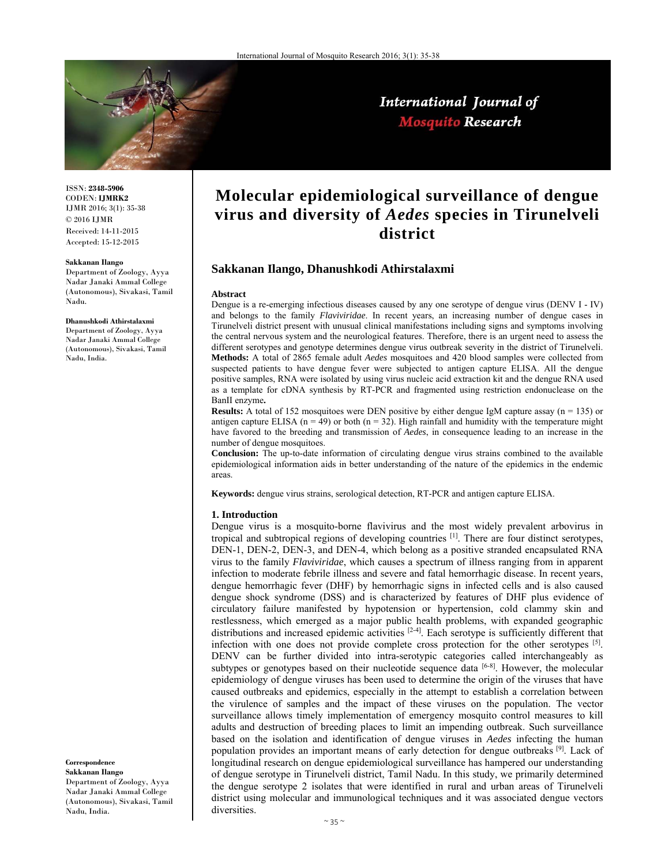

International Journal of **Mosquito Research** 

ISSN: **2348-5906** CODEN: **IJMRK2** IJMR 2016; 3(1): 35-38 © 2016 IJMR Received: 14-11-2015 Accepted: 15-12-2015

#### **Sakkanan Ilango**

Department of Zoology, Ayya Nadar Janaki Ammal College (Autonomous), Sivakasi, Tamil Nadu.

#### **Dhanushkodi Athirstalaxmi**

Department of Zoology, Ayya Nadar Janaki Ammal College (Autonomous), Sivakasi, Tamil Nadu, India.

**Correspondence Sakkanan Ilango**  Department of Zoology, Ayya

Nadar Janaki Ammal College (Autonomous), Sivakasi, Tamil Nadu, India.

# **Molecular epidemiological surveillance of dengue virus and diversity of** *Aedes* **species in Tirunelveli district**

## **Sakkanan Ilango, Dhanushkodi Athirstalaxmi**

#### **Abstract**

Dengue is a re-emerging infectious diseases caused by any one serotype of dengue virus (DENV I - IV) and belongs to the family *Flaviviridae*. In recent years, an increasing number of dengue cases in Tirunelveli district present with unusual clinical manifestations including signs and symptoms involving the central nervous system and the neurological features. Therefore, there is an urgent need to assess the different serotypes and genotype determines dengue virus outbreak severity in the district of Tirunelveli. **Methods:** A total of 2865 female adult *Aedes* mosquitoes and 420 blood samples were collected from suspected patients to have dengue fever were subjected to antigen capture ELISA. All the dengue positive samples, RNA were isolated by using virus nucleic acid extraction kit and the dengue RNA used as a template for cDNA synthesis by RT-PCR and fragmented using restriction endonuclease on the BanII enzyme**.** 

**Results:** A total of 152 mosquitoes were DEN positive by either dengue IgM capture assay (n = 135) or antigen capture ELISA  $(n = 49)$  or both  $(n = 32)$ . High rainfall and humidity with the temperature might have favored to the breeding and transmission of *Aedes*, in consequence leading to an increase in the number of dengue mosquitoes.

**Conclusion:** The up-to-date information of circulating dengue virus strains combined to the available epidemiological information aids in better understanding of the nature of the epidemics in the endemic areas.

**Keywords:** dengue virus strains, serological detection, RT-PCR and antigen capture ELISA.

#### **1. Introduction**

Dengue virus is a mosquito-borne flavivirus and the most widely prevalent arbovirus in tropical and subtropical regions of developing countries [1]. There are four distinct serotypes, DEN-1, DEN-2, DEN-3, and DEN-4, which belong as a positive stranded encapsulated RNA virus to the family *Flaviviridae*, which causes a spectrum of illness ranging from in apparent infection to moderate febrile illness and severe and fatal hemorrhagic disease. In recent years, dengue hemorrhagic fever (DHF) by hemorrhagic signs in infected cells and is also caused dengue shock syndrome (DSS) and is characterized by features of DHF plus evidence of circulatory failure manifested by hypotension or hypertension, cold clammy skin and restlessness, which emerged as a major public health problems, with expanded geographic distributions and increased epidemic activities <sup>[2-4]</sup>. Each serotype is sufficiently different that infection with one does not provide complete cross protection for the other serotypes  $[5]$ . DENV can be further divided into intra-serotypic categories called interchangeably as subtypes or genotypes based on their nucleotide sequence data  $[6-8]$ . However, the molecular epidemiology of dengue viruses has been used to determine the origin of the viruses that have caused outbreaks and epidemics, especially in the attempt to establish a correlation between the virulence of samples and the impact of these viruses on the population. The vector surveillance allows timely implementation of emergency mosquito control measures to kill adults and destruction of breeding places to limit an impending outbreak. Such surveillance based on the isolation and identification of dengue viruses in *Aedes* infecting the human population provides an important means of early detection for dengue outbreaks [9]. Lack of longitudinal research on dengue epidemiological surveillance has hampered our understanding of dengue serotype in Tirunelveli district, Tamil Nadu. In this study, we primarily determined the dengue serotype 2 isolates that were identified in rural and urban areas of Tirunelveli district using molecular and immunological techniques and it was associated dengue vectors diversities.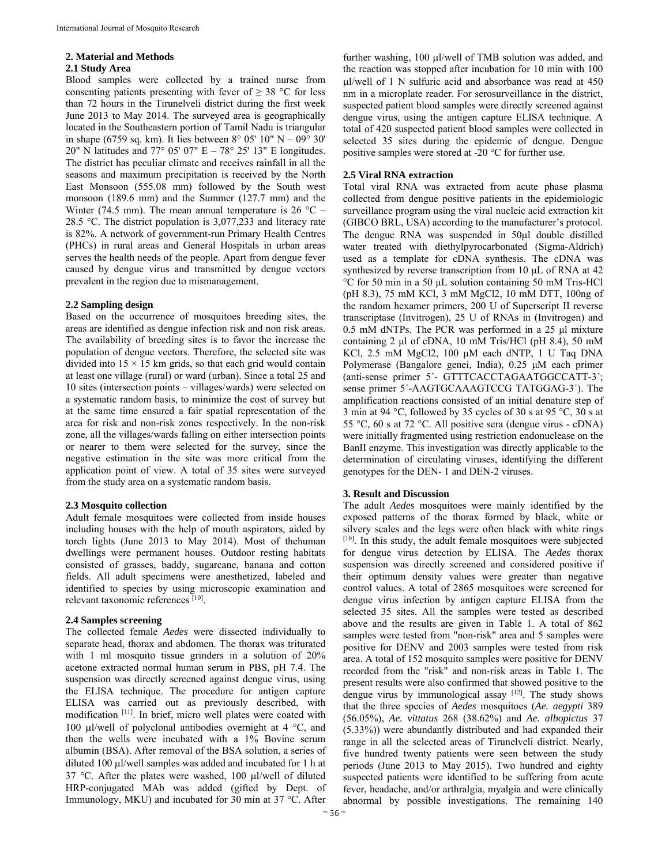#### **2. Material and Methods**

#### **2.1 Study Area**

Blood samples were collected by a trained nurse from consenting patients presenting with fever of  $\geq 38$  °C for less than 72 hours in the Tirunelveli district during the first week June 2013 to May 2014. The surveyed area is geographically located in the Southeastern portion of Tamil Nadu is triangular in shape (6759 sq. km). It lies between 8° 05' 10" N – 09° 30' 20" N latitudes and 77° 05' 07" E – 78° 25' 13" E longitudes. The district has peculiar climate and receives rainfall in all the seasons and maximum precipitation is received by the North East Monsoon (555.08 mm) followed by the South west monsoon (189.6 mm) and the Summer (127.7 mm) and the Winter (74.5 mm). The mean annual temperature is  $26 \text{ °C} -$ 28.5 °C. The district population is 3,077,233 and literacy rate is 82%. A network of government-run Primary Health Centres (PHCs) in rural areas and General Hospitals in urban areas serves the health needs of the people. Apart from dengue fever caused by dengue virus and transmitted by dengue vectors prevalent in the region due to mismanagement.

#### **2.2 Sampling design**

Based on the occurrence of mosquitoes breeding sites, the areas are identified as dengue infection risk and non risk areas. The availability of breeding sites is to favor the increase the population of dengue vectors. Therefore, the selected site was divided into  $15 \times 15$  km grids, so that each grid would contain at least one village (rural) or ward (urban). Since a total 25 and 10 sites (intersection points – villages/wards) were selected on a systematic random basis, to minimize the cost of survey but at the same time ensured a fair spatial representation of the area for risk and non-risk zones respectively. In the non-risk zone, all the villages/wards falling on either intersection points or nearer to them were selected for the survey, since the negative estimation in the site was more critical from the application point of view. A total of 35 sites were surveyed from the study area on a systematic random basis.

## **2.3 Mosquito collection**

Adult female mosquitoes were collected from inside houses including houses with the help of mouth aspirators, aided by torch lights (June 2013 to May 2014). Most of thehuman dwellings were permanent houses. Outdoor resting habitats consisted of grasses, baddy, sugarcane, banana and cotton fields. All adult specimens were anesthetized, labeled and identified to species by using microscopic examination and relevant taxonomic references [10].

#### **2.4 Samples screening**

The collected female *Aedes* were dissected individually to separate head, thorax and abdomen. The thorax was triturated with 1 ml mosquito tissue grinders in a solution of 20% acetone extracted normal human serum in PBS, pH 7.4. The suspension was directly screened against dengue virus, using the ELISA technique. The procedure for antigen capture ELISA was carried out as previously described, with modification [11]. In brief, micro well plates were coated with 100 µl/well of polyclonal antibodies overnight at  $4 \degree C$ , and then the wells were incubated with a 1% Bovine serum albumin (BSA). After removal of the BSA solution, a series of diluted 100  $\mu$ l/well samples was added and incubated for 1 h at 37 °C. After the plates were washed, 100  $\mu$ l/well of diluted HRP-conjugated MAb was added (gifted by Dept. of Immunology, MKU) and incubated for 30 min at 37 °C. After further washing, 100 µl/well of TMB solution was added, and the reaction was stopped after incubation for 10 min with 100  $\mu$ l/well of 1 N sulfuric acid and absorbance was read at 450 nm in a microplate reader. For serosurveillance in the district, suspected patient blood samples were directly screened against dengue virus, using the antigen capture ELISA technique. A total of 420 suspected patient blood samples were collected in selected 35 sites during the epidemic of dengue. Dengue positive samples were stored at -20 °C for further use.

## **2.5 Viral RNA extraction**

Total viral RNA was extracted from acute phase plasma collected from dengue positive patients in the epidemiologic surveillance program using the viral nucleic acid extraction kit (GIBCO BRL, USA) according to the manufacturer's protocol. The dengue RNA was suspended in 50µl double distilled water treated with diethylpyrocarbonated (Sigma-Aldrich) used as a template for cDNA synthesis. The cDNA was synthesized by reverse transcription from 10 μL of RNA at 42 °C for 50 min in a 50 μL solution containing 50 mM Tris-HCl (pH 8.3), 75 mM KCl, 3 mM MgCl2, 10 mM DTT, 100ng of the random hexamer primers, 200 U of Superscript II reverse transcriptase (Invitrogen), 25 U of RNAs in (Invitrogen) and 0.5 mM dNTPs. The PCR was performed in a 25 μl mixture containing 2 μl of cDNA, 10 mM Tris/HCl (pH 8.4), 50 mM KCl, 2.5 mM MgCl2, 100 μM each dNTP, 1 U Taq DNA Polymerase (Bangalore genei, India), 0.25 μM each primer (anti-sense primer 5´- GTTTCACCTAGAATGGCCATT-3´; sense primer 5´-AAGTGCAAAGTCCG TATGGAG-3´). The amplification reactions consisted of an initial denature step of 3 min at 94 °C, followed by 35 cycles of 30 s at 95 °C, 30 s at 55 °C, 60 s at 72 °C. All positive sera (dengue virus - cDNA) were initially fragmented using restriction endonuclease on the BanII enzyme. This investigation was directly applicable to the determination of circulating viruses, identifying the different genotypes for the DEN- 1 and DEN-2 viruses.

## **3. Result and Discussion**

The adult *Aedes* mosquitoes were mainly identified by the exposed patterns of the thorax formed by black, white or silvery scales and the legs were often black with white rings [10]. In this study, the adult female mosquitoes were subjected for dengue virus detection by ELISA. The *Aedes* thorax suspension was directly screened and considered positive if their optimum density values were greater than negative control values. A total of 2865 mosquitoes were screened for dengue virus infection by antigen capture ELISA from the selected 35 sites. All the samples were tested as described above and the results are given in Table 1. A total of 862 samples were tested from "non-risk" area and 5 samples were positive for DENV and 2003 samples were tested from risk area. A total of 152 mosquito samples were positive for DENV recorded from the "risk" and non-risk areas in Table 1. The present results were also confirmed that showed positive to the dengue virus by immunological assay [12]. The study shows that the three species of *Aedes* mosquitoes (*Ae. aegypti* 389 (56.05%), *Ae. vittatus* 268 (38.62%) and *Ae. albopictus* 37 (5.33%)) were abundantly distributed and had expanded their range in all the selected areas of Tirunelveli district. Nearly, five hundred twenty patients were seen between the study periods (June 2013 to May 2015). Two hundred and eighty suspected patients were identified to be suffering from acute fever, headache, and/or arthralgia, myalgia and were clinically abnormal by possible investigations. The remaining 140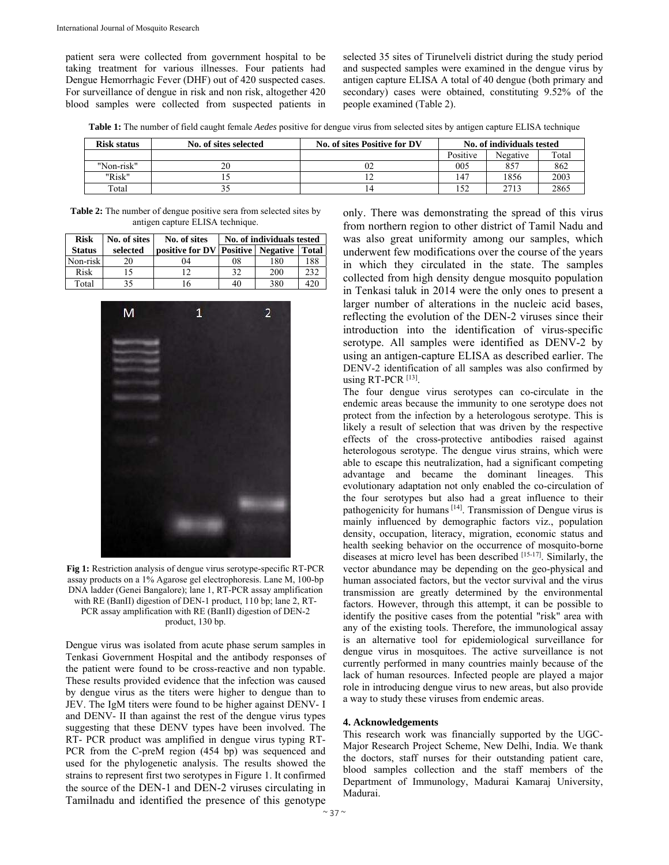patient sera were collected from government hospital to be taking treatment for various illnesses. Four patients had Dengue Hemorrhagic Fever (DHF) out of 420 suspected cases. For surveillance of dengue in risk and non risk, altogether 420 blood samples were collected from suspected patients in selected 35 sites of Tirunelveli district during the study period and suspected samples were examined in the dengue virus by antigen capture ELISA A total of 40 dengue (both primary and secondary) cases were obtained, constituting 9.52% of the people examined (Table 2).

**Table 1:** The number of field caught female *Aedes* positive for dengue virus from selected sites by antigen capture ELISA technique

| <b>Risk status</b> | No. of sites selected | No. of sites Positive for DV | No. of individuals tested |          |       |
|--------------------|-----------------------|------------------------------|---------------------------|----------|-------|
|                    |                       |                              | Positive                  | Negative | Total |
| "Non-risk"         |                       | 02                           | 005                       | 857      | 862   |
| "Risk"             |                       |                              | 147                       | 1856     | 2003  |
| Total              |                       | 14                           |                           | 2713     | 2865  |

**Table 2:** The number of dengue positive sera from selected sites by antigen capture ELISA technique.

| <b>Risk</b>   | No. of sites | No. of sites                                  | No. of individuals tested |     |     |  |
|---------------|--------------|-----------------------------------------------|---------------------------|-----|-----|--|
| <b>Status</b> | selected     | positive for DV   Positive   Negative   Total |                           |     |     |  |
| Non-risk      | 20           | 04                                            | 08                        | 180 | 188 |  |
| Risk          | 15           | 1 າ                                           | 32                        | 200 | 232 |  |
| Total         | 35           |                                               | 40                        | 380 | 420 |  |



**Fig 1:** Restriction analysis of dengue virus serotype-specific RT-PCR assay products on a 1% Agarose gel electrophoresis. Lane M, 100-bp DNA ladder (Genei Bangalore); lane 1, RT-PCR assay amplification with RE (BanII) digestion of DEN-1 product, 110 bp; lane 2, RT-PCR assay amplification with RE (BanII) digestion of DEN-2 product, 130 bp.

Dengue virus was isolated from acute phase serum samples in Tenkasi Government Hospital and the antibody responses of the patient were found to be cross-reactive and non typable. These results provided evidence that the infection was caused by dengue virus as the titers were higher to dengue than to JEV. The IgM titers were found to be higher against DENV- I and DENV- II than against the rest of the dengue virus types suggesting that these DENV types have been involved. The RT- PCR product was amplified in dengue virus typing RT-PCR from the C-preM region (454 bp) was sequenced and used for the phylogenetic analysis. The results showed the strains to represent first two serotypes in Figure 1. It confirmed the source of the DEN-1 and DEN-2 viruses circulating in Tamilnadu and identified the presence of this genotype

only. There was demonstrating the spread of this virus from northern region to other district of Tamil Nadu and was also great uniformity among our samples, which underwent few modifications over the course of the years in which they circulated in the state. The samples collected from high density dengue mosquito population in Tenkasi taluk in 2014 were the only ones to present a larger number of alterations in the nucleic acid bases, reflecting the evolution of the DEN-2 viruses since their introduction into the identification of virus-specific serotype. All samples were identified as DENV-2 by using an antigen-capture ELISA as described earlier. The DENV-2 identification of all samples was also confirmed by using RT-PCR  $[13]$ .

The four dengue virus serotypes can co-circulate in the endemic areas because the immunity to one serotype does not protect from the infection by a heterologous serotype. This is likely a result of selection that was driven by the respective effects of the cross-protective antibodies raised against heterologous serotype. The dengue virus strains, which were able to escape this neutralization, had a significant competing advantage and became the dominant lineages. This evolutionary adaptation not only enabled the co-circulation of the four serotypes but also had a great influence to their pathogenicity for humans [14]. Transmission of Dengue virus is mainly influenced by demographic factors viz., population density, occupation, literacy, migration, economic status and health seeking behavior on the occurrence of mosquito-borne diseases at micro level has been described [15-17]. Similarly, the vector abundance may be depending on the geo-physical and human associated factors, but the vector survival and the virus transmission are greatly determined by the environmental factors. However, through this attempt, it can be possible to identify the positive cases from the potential "risk" area with any of the existing tools. Therefore, the immunological assay is an alternative tool for epidemiological surveillance for dengue virus in mosquitoes. The active surveillance is not currently performed in many countries mainly because of the lack of human resources. Infected people are played a major role in introducing dengue virus to new areas, but also provide a way to study these viruses from endemic areas.

#### **4. Acknowledgements**

This research work was financially supported by the UGC-Major Research Project Scheme, New Delhi, India. We thank the doctors, staff nurses for their outstanding patient care, blood samples collection and the staff members of the Department of Immunology, Madurai Kamaraj University, Madurai.